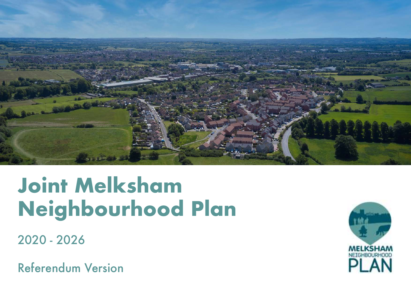

# **Joint Melksham Neighbourhood Plan**

2020 - 2026

Referendum Version

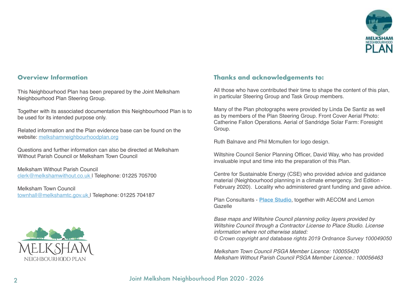

#### **Overview Information**

This Neighbourhood Plan has been prepared by the Joint Melksham Neighbourhood Plan Steering Group.

Together with its associated documentation this Neighbourhood Plan is to be used for its intended purpose only.

Related information and the Plan evidence base can be found on the website: melkshamneighbourhoodplan.org

Questions and further information can also be directed at Melksham Without Parish Council or Melksham Town Council

Melksham Without Parish Council clerk@melkshamwithout.co.uk | Telephone: 01225 705700

Melksham Town Council townhall@melkshamtc.gov.uk | Telephone: 01225 704187



## **Thanks and acknowledgements to:**

All those who have contributed their time to shape the content of this plan, in particular Steering Group and Task Group members.

Many of the Plan photographs were provided by Linda De Santiz as well as by members of the Plan Steering Group. Front Cover Aerial Photo: Catherine Fallon Operations. Aerial of Sandridge Solar Farm: Foresight Group.

Ruth Balnave and Phil Mcmullen for logo design.

Wiltshire Council Senior Planning Officer, David Way, who has provided invaluable input and time into the preparation of this Plan.

Centre for Sustainable Energy (CSE) who provided advice and guidance material (Neighbourhood planning in a climate emergency. 3rd Edition - February 2020). Locality who administered grant funding and gave advice.

Plan Consultants - **Place Studio**, together with AECOM and Lemon Gazelle

*Base maps and Wiltshire Council planning policy layers provided by Wiltshire Council through a Contractor License to Place Studio. License information where not otherwise stated: © Crown copyright and database rights 2019 Ordnance Survey 100049050*

*Melksham Town Council PSGA Member Licence: 100055420 Melksham Without Parish Council PSGA Member Licence.: 100056463*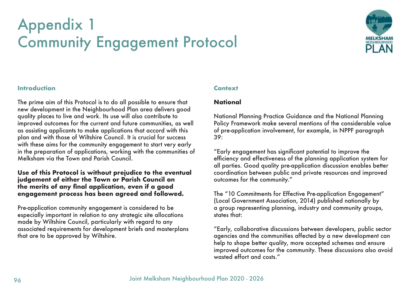# Appendix 1 Community Engagement Protocol



## **Introduction**

The prime aim of this Protocol is to do all possible to ensure that new development in the Neighbourhood Plan area delivers good quality places to live and work. Its use will also contribute to improved outcomes for the current and future communities, as well as assisting applicants to make applications that accord with this plan and with those of Wiltshire Council. It is crucial for success with these aims for the community engagement to start very early in the preparation of applications, working with the communities of Melksham via the Town and Parish Council.

#### **Use of this Protocol is without prejudice to the eventual judgement of either the Town or Parish Council on the merits of any final application, even if a good engagement process has been agreed and followed.**

Pre-application community engagement is considered to be especially important in relation to any strategic site allocations made by Wiltshire Council, particularly with regard to any associated requirements for development briefs and masterplans that are to be approved by Wiltshire.

# **Context**

#### **National**

National Planning Practice Guidance and the National Planning Policy Framework make several mentions of the considerable value of pre-application involvement, for example, in NPPF paragraph 39:

"Early engagement has significant potential to improve the efficiency and effectiveness of the planning application system for all parties. Good quality pre-application discussion enables better coordination between public and private resources and improved outcomes for the community."

The "10 Commitments for Effective Pre-application Engagement" (Local Government Association, 2014) published nationally by a group representing planning, industry and community groups, states that:

"Early, collaborative discussions between developers, public sector agencies and the communities affected by a new development can help to shape better quality, more accepted schemes and ensure improved outcomes for the community. These discussions also avoid wasted effort and costs."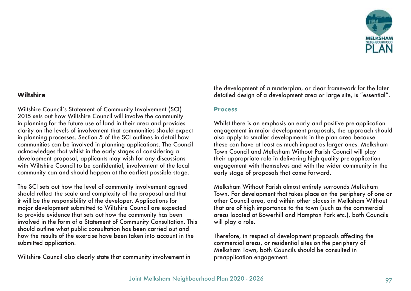

# **Wiltshire**

Wiltshire Council's Statement of Community Involvement (SCI) 2015 sets out how Wiltshire Council will involve the community in planning for the future use of land in their area and provides clarity on the levels of involvement that communities should expect in planning processes. Section 5 of the SCI outlines in detail how communities can be involved in planning applications. The Council acknowledges that whilst in the early stages of considering a development proposal, applicants may wish for any discussions with Wiltshire Council to be confidential, involvement of the local community can and should happen at the earliest possible stage.

The SCI sets out how the level of community involvement agreed should reflect the scale and complexity of the proposal and that it will be the responsibility of the developer. Applications for major development submitted to Wiltshire Council are expected to provide evidence that sets out how the community has been involved in the form of a Statement of Community Consultation. This should outline what public consultation has been carried out and how the results of the exercise have been taken into account in the submitted application.

Wiltshire Council also clearly state that community involvement in

the development of a masterplan, or clear framework for the later detailed design of a development area or large site, is "essential".

#### **Process**

Whilst there is an emphasis on early and positive pre-application engagement in major development proposals, the approach should also apply to smaller developments in the plan area because these can have at least as much impact as larger ones. Melksham Town Council and Melksham Without Parish Council will play their appropriate role in delivering high quality pre-application engagement with themselves and with the wider community in the early stage of proposals that come forward.

Melksham Without Parish almost entirely surrounds Melksham Town. For development that takes place on the periphery of one or other Council area, and within other places in Melksham Without that are of high importance to the town (such as the commercial areas located at Bowerhill and Hampton Park etc.), both Councils will play a role.

Therefore, in respect of development proposals affecting the commercial areas, or residential sites on the periphery of Melksham Town, both Councils should be consulted in preapplication engagement.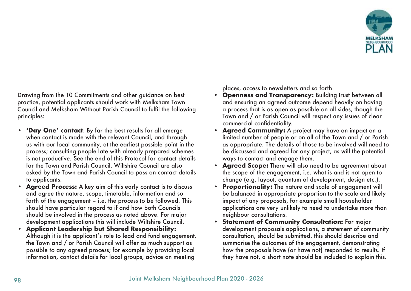

Drawing from the 10 Commitments and other guidance on best practice, potential applicants should work with Melksham Town Council and Melksham Without Parish Council to fulfil the following principles:

- **• 'Day One' contact**: By far the best results for all emerge when contact is made with the relevant Council, and through us with our local community, at the earliest possible point in the process; consulting people late with already prepared schemes is not productive. See the end of this Protocol for contact details for the Town and Parish Council. Wiltshire Council are also asked by the Town and Parish Council to pass on contact details to applicants.
- **• Agreed Process:** A key aim of this early contact is to discuss and agree the nature, scope, timetable, information and so forth of the engagement – i.e. the process to be followed. This should have particular regard to if and how both Councils should be involved in the process as noted above. For major development applications this will include Wiltshire Council.
- **• Applicant Leadership but Shared Responsibility:** Although it is the applicant's role to lead and fund engagement, the Town and / or Parish Council will offer as much support as possible to any agreed process; for example by providing local information, contact details for local groups, advice on meeting

places, access to newsletters and so forth.

- **• Openness and Transparency:** Building trust between all and ensuring an agreed outcome depend heavily on having a process that is as open as possible on all sides, though the Town and / or Parish Council will respect any issues of clear commercial confidentiality.
- **• Agreed Community:** A project may have an impact on a limited number of people or on all of the Town and / or Parish as appropriate. The details of those to be involved will need to be discussed and agreed for any project, as will the potential ways to contact and engage them.
- **• Agreed Scope:** There will also need to be agreement about the scope of the engagement, i.e. what is and is not open to change (e.g. layout, quantum of development, design etc.).
- **• Proportionality:** The nature and scale of engagement will be balanced in appropriate proportion to the scale and likely impact of any proposals, for example small householder applications are very unlikely to need to undertake more than neighbour consultations.
- **• Statement of Community Consultation:** For major development proposals applications, a statement of community consultation, should be submitted. this should describe and summarise the outcomes of the engagement, demonstrating how the proposals have (or have not) responded to results. If they have not, a short note should be included to explain this.